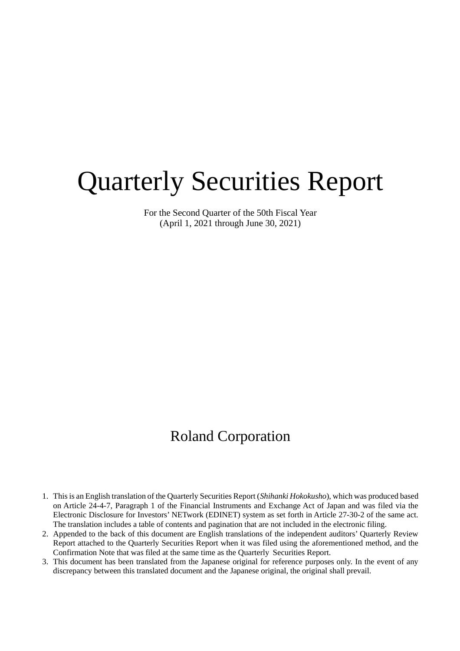# Quarterly Securities Report

For the Second Quarter of the 50th Fiscal Year (April 1, 2021 through June 30, 2021)

# Roland Corporation

- 1. This is an English translation of the Quarterly Securities Report (*Shihanki Hokokusho*), which was produced based on Article 24-4-7, Paragraph 1 of the Financial Instruments and Exchange Act of Japan and was filed via the Electronic Disclosure for Investors' NETwork (EDINET) system as set forth in Article 27-30-2 of the same act. The translation includes a table of contents and pagination that are not included in the electronic filing.
- 2. Appended to the back of this document are English translations of the independent auditors' Quarterly Review Report attached to the Quarterly Securities Report when it was filed using the aforementioned method, and the Confirmation Note that was filed at the same time as the Quarterly Securities Report.
- 3. This document has been translated from the Japanese original for reference purposes only. In the event of any discrepancy between this translated document and the Japanese original, the original shall prevail.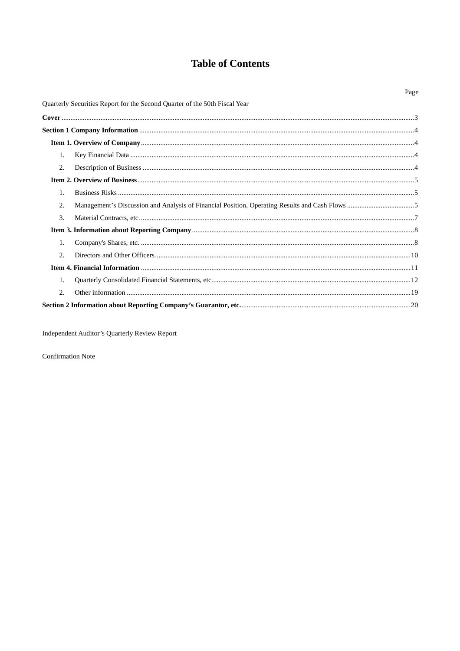# **Table of Contents**

|    |                                                                            | Page |
|----|----------------------------------------------------------------------------|------|
|    | Quarterly Securities Report for the Second Quarter of the 50th Fiscal Year |      |
|    |                                                                            |      |
|    |                                                                            |      |
|    |                                                                            |      |
| 1. |                                                                            |      |
| 2. |                                                                            |      |
|    |                                                                            |      |
| 1. |                                                                            |      |
| 2. |                                                                            |      |
| 3. |                                                                            |      |
|    |                                                                            |      |
| 1. |                                                                            |      |
| 2. |                                                                            |      |
|    |                                                                            |      |
| 1. |                                                                            |      |
| 2. |                                                                            |      |
|    |                                                                            |      |

Independent Auditor's Quarterly Review Report

Confirmation Note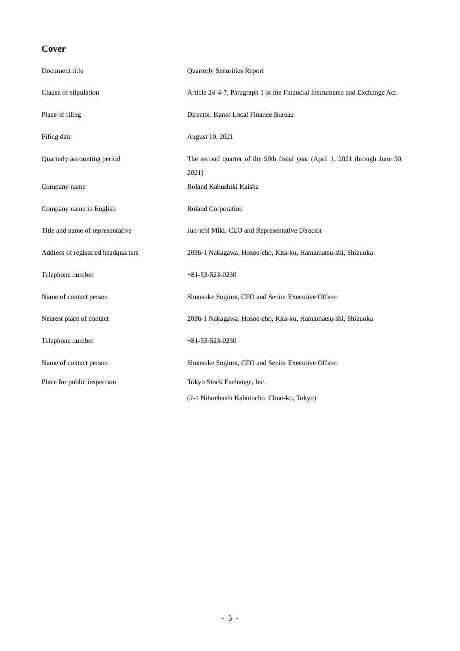# **Cover**

| Document title                     | <b>Quarterly Securities Report</b>                                                  |
|------------------------------------|-------------------------------------------------------------------------------------|
| Clause of stipulation              | Article 24-4-7, Paragraph 1 of the Financial Instruments and Exchange Act           |
| Place of filing                    | Director, Kanto Local Finance Bureau                                                |
| Filing date                        | August 10, 2021                                                                     |
| Quarterly accounting period        | The second quarter of the 50th fiscal year (April 1, 2021 through June 30,<br>2021) |
| Company name                       | Roland Kabushiki Kaisha                                                             |
| Company name in English            | Roland Corporation                                                                  |
| Title and name of representative   | Jun-ichi Miki, CEO and Representative Director                                      |
| Address of registered headquarters | 2036-1 Nakagawa, Hosoe-cho, Kita-ku, Hamamatsu-shi, Shizuoka                        |
| Telephone number                   | $+81 - 53 - 523 - 0230$                                                             |
| Name of contact person             | Shunsuke Sugiura, CFO and Senior Executive Officer                                  |
| Nearest place of contact           | 2036-1 Nakagawa, Hosoe-cho, Kita-ku, Hamamatsu-shi, Shizuoka                        |
| Telephone number                   | $+81-53-523-0230$                                                                   |
| Name of contact person             | Shunsuke Sugiura, CFO and Senior Executive Officer                                  |
| Place for public inspection        | Tokyo Stock Exchange, Inc.                                                          |
|                                    | (2-1 Nihonbashi Kabutocho, Chuo-ku, Tokyo)                                          |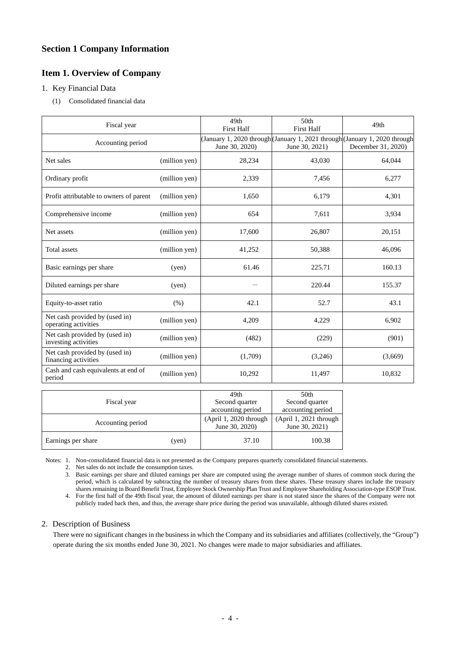# **Section 1 Company Information**

# **Item 1. Overview of Company**

# 1. Key Financial Data

(1) Consolidated financial data

| Fiscal year                                            |               | 49 <sub>th</sub><br><b>First Half</b> | 50 <sub>th</sub><br><b>First Half</b> | 49th                                                                                             |
|--------------------------------------------------------|---------------|---------------------------------------|---------------------------------------|--------------------------------------------------------------------------------------------------|
| Accounting period                                      |               | June 30, 2020)                        | June 30, 2021)                        | (January 1, 2020 through (January 1, 2021 through (January 1, 2020 through<br>December 31, 2020) |
| Net sales                                              | (million yen) | 28,234                                | 43,030                                | 64,044                                                                                           |
| Ordinary profit                                        | (million yen) | 2,339                                 | 7,456                                 | 6,277                                                                                            |
| Profit attributable to owners of parent                | (million yen) | 1,650                                 | 6,179                                 | 4,301                                                                                            |
| Comprehensive income                                   | (million yen) | 654                                   | 7,611                                 | 3,934                                                                                            |
| Net assets                                             | (million yen) | 17,600                                | 26,807                                | 20,151                                                                                           |
| Total assets                                           | (million yen) | 41,252                                | 50,388                                | 46,096                                                                                           |
| Basic earnings per share                               | (yen)         | 61.46                                 | 225.71                                | 160.13                                                                                           |
| Diluted earnings per share                             | (yen)         |                                       | 220.44                                | 155.37                                                                                           |
| Equity-to-asset ratio                                  | (% )          | 42.1                                  | 52.7                                  | 43.1                                                                                             |
| Net cash provided by (used in)<br>operating activities | (million yen) | 4,209                                 | 4,229                                 | 6,902                                                                                            |
| Net cash provided by (used in)<br>investing activities | (million yen) | (482)                                 | (229)                                 | (901)                                                                                            |
| Net cash provided by (used in)<br>financing activities | (million yen) | (1,709)                               | (3,246)                               | (3,669)                                                                                          |
| Cash and cash equivalents at end of<br>period          | (million yen) | 10,292                                | 11,497                                | 10,832                                                                                           |

|                    |       | 49th                                     | 50th                                     |
|--------------------|-------|------------------------------------------|------------------------------------------|
| Fiscal year        |       | Second quarter                           | Second quarter                           |
|                    |       | accounting period                        | accounting period                        |
| Accounting period  |       | (April 1, 2020 through<br>June 30, 2020) | (April 1, 2021 through<br>June 30, 2021) |
| Earnings per share | (yen) | 37.10                                    | 100.38                                   |

Notes: 1. Non-consolidated financial data is not presented as the Company prepares quarterly consolidated financial statements.

2. Net sales do not include the consumption taxes.

3. Basic earnings per share and diluted earnings per share are computed using the average number of shares of common stock during the period, which is calculated by subtracting the number of treasury shares from these shares. These treasury shares include the treasury shares remaining in Board Benefit Trust, Employee Stock Ownership Plan Trust and Employee Shareholding Association-type ESOP Trust. 4. For the first half of the 49th fiscal year, the amount of diluted earnings per share is not stated since the shares of the Company were not

publicly traded back then, and thus, the average share price during the period was unavailable, although diluted shares existed.

# 2. Description of Business

There were no significant changes in the business in which the Company and its subsidiaries and affiliates (collectively, the "Group") operate during the six months ended June 30, 2021. No changes were made to major subsidiaries and affiliates.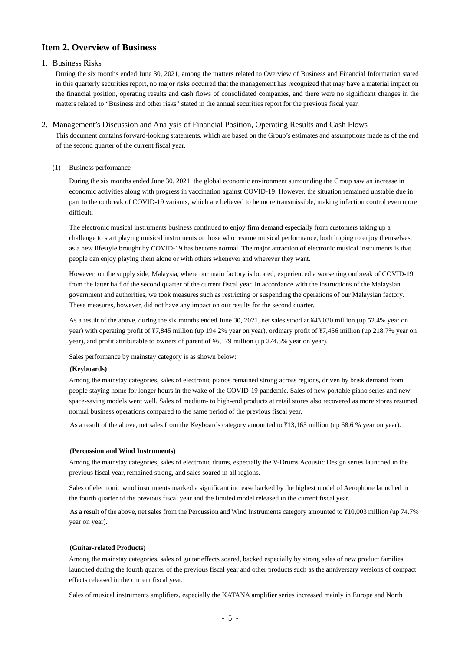# **Item 2. Overview of Business**

# 1. Business Risks

During the six months ended June 30, 2021, among the matters related to Overview of Business and Financial Information stated in this quarterly securities report, no major risks occurred that the management has recognized that may have a material impact on the financial position, operating results and cash flows of consolidated companies, and there were no significant changes in the matters related to "Business and other risks" stated in the annual securities report for the previous fiscal year.

2. Management's Discussion and Analysis of Financial Position, Operating Results and Cash Flows This document contains forward-looking statements, which are based on the Group's estimates and assumptions made as of the end of the second quarter of the current fiscal year.

## (1) Business performance

During the six months ended June 30, 2021, the global economic environment surrounding the Group saw an increase in economic activities along with progress in vaccination against COVID-19. However, the situation remained unstable due in part to the outbreak of COVID-19 variants, which are believed to be more transmissible, making infection control even more difficult.

The electronic musical instruments business continued to enjoy firm demand especially from customers taking up a challenge to start playing musical instruments or those who resume musical performance, both hoping to enjoy themselves, as a new lifestyle brought by COVID-19 has become normal. The major attraction of electronic musical instruments is that people can enjoy playing them alone or with others whenever and wherever they want.

However, on the supply side, Malaysia, where our main factory is located, experienced a worsening outbreak of COVID-19 from the latter half of the second quarter of the current fiscal year. In accordance with the instructions of the Malaysian government and authorities, we took measures such as restricting or suspending the operations of our Malaysian factory. These measures, however, did not have any impact on our results for the second quarter.

As a result of the above, during the six months ended June 30, 2021, net sales stood at ¥43,030 million (up 52.4% year on year) with operating profit of ¥7,845 million (up 194.2% year on year), ordinary profit of ¥7,456 million (up 218.7% year on year), and profit attributable to owners of parent of ¥6,179 million (up 274.5% year on year).

Sales performance by mainstay category is as shown below:

#### **(Keyboards)**

Among the mainstay categories, sales of electronic pianos remained strong across regions, driven by brisk demand from people staying home for longer hours in the wake of the COVID-19 pandemic. Sales of new portable piano series and new space-saving models went well. Sales of medium- to high-end products at retail stores also recovered as more stores resumed normal business operations compared to the same period of the previous fiscal year.

As a result of the above, net sales from the Keyboards category amounted to ¥13,165 million (up 68.6 % year on year).

#### **(Percussion and Wind Instruments)**

Among the mainstay categories, sales of electronic drums, especially the V-Drums Acoustic Design series launched in the previous fiscal year, remained strong, and sales soared in all regions.

Sales of electronic wind instruments marked a significant increase backed by the highest model of Aerophone launched in the fourth quarter of the previous fiscal year and the limited model released in the current fiscal year.

As a result of the above, net sales from the Percussion and Wind Instruments category amounted to ¥10,003 million (up 74.7% year on year).

## **(Guitar-related Products)**

Among the mainstay categories, sales of guitar effects soared, backed especially by strong sales of new product families launched during the fourth quarter of the previous fiscal year and other products such as the anniversary versions of compact effects released in the current fiscal year.

Sales of musical instruments amplifiers, especially the KATANA amplifier series increased mainly in Europe and North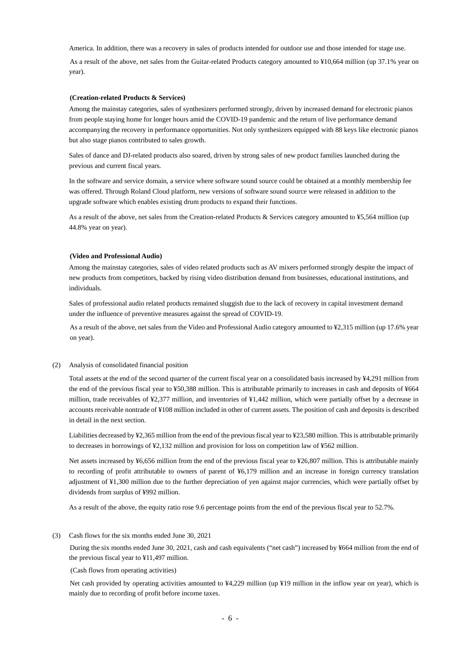America. In addition, there was a recovery in sales of products intended for outdoor use and those intended for stage use.

As a result of the above, net sales from the Guitar-related Products category amounted to ¥10,664 million (up 37.1% year on year).

#### **(Creation-related Products & Services)**

Among the mainstay categories, sales of synthesizers performed strongly, driven by increased demand for electronic pianos from people staying home for longer hours amid the COVID-19 pandemic and the return of live performance demand accompanying the recovery in performance opportunities. Not only synthesizers equipped with 88 keys like electronic pianos but also stage pianos contributed to sales growth.

Sales of dance and DJ-related products also soared, driven by strong sales of new product families launched during the previous and current fiscal years.

In the software and service domain, a service where software sound source could be obtained at a monthly membership fee was offered. Through Roland Cloud platform, new versions of software sound source were released in addition to the upgrade software which enables existing drum products to expand their functions.

As a result of the above, net sales from the Creation-related Products & Services category amounted to ¥5,564 million (up 44.8% year on year).

#### **(Video and Professional Audio)**

Among the mainstay categories, sales of video related products such as AV mixers performed strongly despite the impact of new products from competitors, backed by rising video distribution demand from businesses, educational institutions, and individuals.

Sales of professional audio related products remained sluggish due to the lack of recovery in capital investment demand under the influence of preventive measures against the spread of COVID-19.

As a result of the above, net sales from the Video and Professional Audio category amounted to ¥2,315 million (up 17.6% year on year).

#### (2) Analysis of consolidated financial position

Total assets at the end of the second quarter of the current fiscal year on a consolidated basis increased by ¥4,291 million from the end of the previous fiscal year to ¥50,388 million. This is attributable primarily to increases in cash and deposits of ¥664 million, trade receivables of ¥2,377 million, and inventories of ¥1,442 million, which were partially offset by a decrease in accounts receivable nontrade of ¥108 million included in other of current assets. The position of cash and deposits is described in detail in the next section.

Liabilities decreased by ¥2,365 million from the end of the previous fiscal year to ¥23,580 million. This is attributable primarily to decreases in borrowings of ¥2,132 million and provision for loss on competition law of ¥562 million.

Net assets increased by ¥6,656 million from the end of the previous fiscal year to ¥26,807 million. This is attributable mainly to recording of profit attributable to owners of parent of ¥6,179 million and an increase in foreign currency translation adjustment of ¥1,300 million due to the further depreciation of yen against major currencies, which were partially offset by dividends from surplus of ¥992 million.

As a result of the above, the equity ratio rose 9.6 percentage points from the end of the previous fiscal year to 52.7%.

#### (3) Cash flows for the six months ended June 30, 2021

During the six months ended June 30, 2021, cash and cash equivalents ("net cash") increased by ¥664 million from the end of the previous fiscal year to ¥11,497 million.

## (Cash flows from operating activities)

Net cash provided by operating activities amounted to ¥4,229 million (up ¥19 million in the inflow year on year), which is mainly due to recording of profit before income taxes.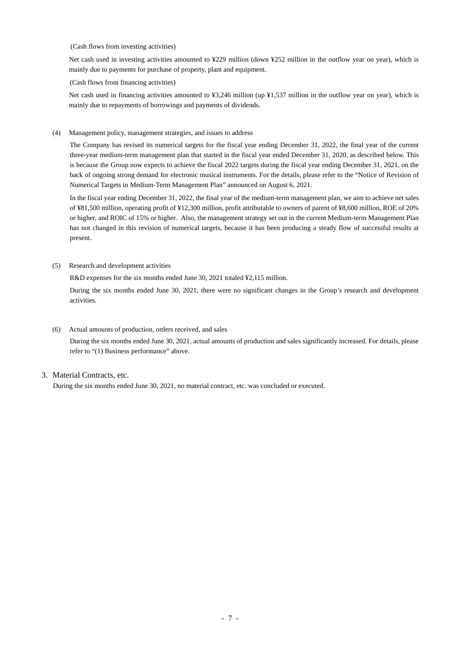#### (Cash flows from investing activities)

Net cash used in investing activities amounted to ¥229 million (down ¥252 million in the outflow year on year), which is mainly due to payments for purchase of property, plant and equipment.

#### (Cash flows from financing activities)

Net cash used in financing activities amounted to ¥3,246 million (up ¥1,537 million in the outflow year on year), which is mainly due to repayments of borrowings and payments of dividends.

(4) Management policy, management strategies, and issues to address

The Company has revised its numerical targets for the fiscal year ending December 31, 2022, the final year of the current three-year medium-term management plan that started in the fiscal year ended December 31, 2020, as described below. This is because the Group now expects to achieve the fiscal 2022 targets during the fiscal year ending December 31, 2021, on the back of ongoing strong demand for electronic musical instruments. For the details, please refer to the "Notice of Revision of Numerical Targets in Medium-Term Management Plan" announced on August 6, 2021.

In the fiscal year ending December 31, 2022, the final year of the medium-term management plan, we aim to achieve net sales of ¥81,500 million, operating profit of ¥12,300 million, profit attributable to owners of parent of ¥8,600 million, ROE of 20% or higher, and ROIC of 15% or higher. Also, the management strategy set out in the current Medium-term Management Plan has not changed in this revision of numerical targets, because it has been producing a steady flow of successful results at present.

(5) Research and development activities

R&D expenses for the six months ended June 30, 2021 totaled ¥2,115 million.

During the six months ended June 30, 2021, there were no significant changes in the Group's research and development activities.

#### (6) Actual amounts of production, orders received, and sales

During the six months ended June 30, 2021, actual amounts of production and sales significantly increased. For details, please refer to "(1) Business performance" above.

## 3. Material Contracts, etc.

During the six months ended June 30, 2021, no material contract, etc. was concluded or executed.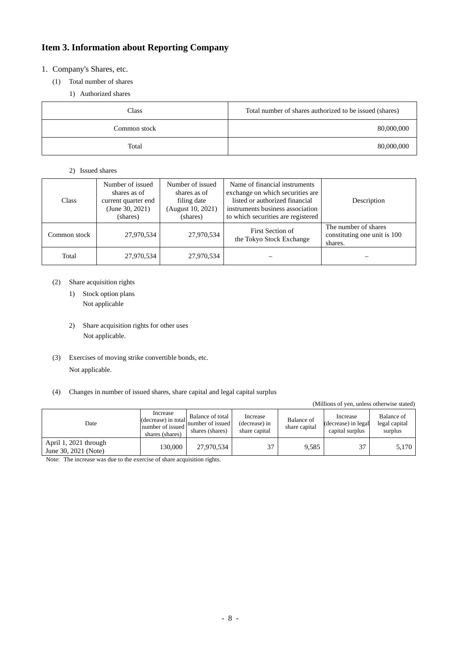# **Item 3. Information about Reporting Company**

# 1. Company's Shares, etc.

- (1) Total number of shares
	- 1) Authorized shares

| Class        | Total number of shares authorized to be issued (shares) |
|--------------|---------------------------------------------------------|
| Common stock | 80,000,000                                              |
| Total        | 80,000,000                                              |

# 2) Issued shares

| <b>Class</b> | Number of issued<br>shares as of<br>current quarter end<br>(June 30, 2021)<br>(shares) | Number of issued<br>shares as of<br>filing date<br>(August 10, 2021)<br>(shares) | Name of financial instruments<br>exchange on which securities are<br>listed or authorized financial<br>instruments business association<br>to which securities are registered | Description                                                     |
|--------------|----------------------------------------------------------------------------------------|----------------------------------------------------------------------------------|-------------------------------------------------------------------------------------------------------------------------------------------------------------------------------|-----------------------------------------------------------------|
| Common stock | 27,970,534                                                                             | 27,970,534                                                                       | First Section of<br>the Tokyo Stock Exchange                                                                                                                                  | The number of shares<br>constituting one unit is 100<br>shares. |
| Total        | 27,970,534                                                                             | 27,970,534                                                                       |                                                                                                                                                                               |                                                                 |

# (2) Share acquisition rights

- 1) Stock option plans Not applicable
- 2) Share acquisition rights for other uses Not applicable.
- (3) Exercises of moving strike convertible bonds, etc. Not applicable.
- (4) Changes in number of issued shares, share capital and legal capital surplus

(Millions of yen, unless otherwise stated)

| Date                                          | Increase<br>(decrease) in total<br>number of issued<br>shares (shares) | Balance of total<br>number of issued<br>shares (shares) | Increase<br>(decrease) in<br>share capital | Balance of<br>share capital | Increase<br>(decrease) in legal<br>capital surplus | Balance of<br>legal capital<br>surplus |
|-----------------------------------------------|------------------------------------------------------------------------|---------------------------------------------------------|--------------------------------------------|-----------------------------|----------------------------------------------------|----------------------------------------|
| April 1, 2021 through<br>June 30, 2021 (Note) | 130.000                                                                | 27.970.534                                              | 37                                         | 9,585                       | 37                                                 | 5,170                                  |

Note: The increase was due to the exercise of share acquisition rights.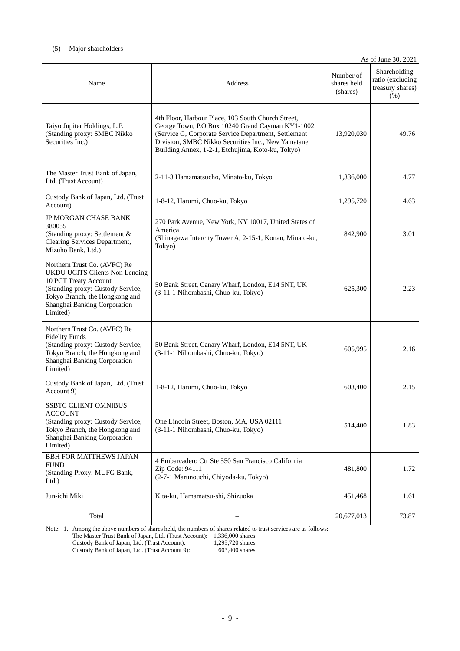# (5) Major shareholders

|                                                                                                                                                                                                                   |                                                                                                                                                                                                                                                                           |                                      | As of June 30, 2021                                          |
|-------------------------------------------------------------------------------------------------------------------------------------------------------------------------------------------------------------------|---------------------------------------------------------------------------------------------------------------------------------------------------------------------------------------------------------------------------------------------------------------------------|--------------------------------------|--------------------------------------------------------------|
| Name                                                                                                                                                                                                              | <b>Address</b>                                                                                                                                                                                                                                                            | Number of<br>shares held<br>(shares) | Shareholding<br>ratio (excluding<br>treasury shares)<br>(% ) |
| Taiyo Jupiter Holdings, L.P.<br>(Standing proxy: SMBC Nikko<br>Securities Inc.)                                                                                                                                   | 4th Floor, Harbour Place, 103 South Church Street,<br>George Town, P.O.Box 10240 Grand Cayman KY1-1002<br>(Service G, Corporate Service Department, Settlement<br>Division, SMBC Nikko Securities Inc., New Yamatane<br>Building Annex, 1-2-1, Etchujima, Koto-ku, Tokyo) | 13,920,030                           | 49.76                                                        |
| The Master Trust Bank of Japan,<br>Ltd. (Trust Account)                                                                                                                                                           | 2-11-3 Hamamatsucho, Minato-ku, Tokyo                                                                                                                                                                                                                                     | 1,336,000                            | 4.77                                                         |
| Custody Bank of Japan, Ltd. (Trust<br>Account)                                                                                                                                                                    | 1-8-12, Harumi, Chuo-ku, Tokyo                                                                                                                                                                                                                                            | 1,295,720                            | 4.63                                                         |
| JP MORGAN CHASE BANK<br>380055<br>(Standing proxy: Settlement &<br>Clearing Services Department,<br>Mizuho Bank, Ltd.)                                                                                            | 270 Park Avenue, New York, NY 10017, United States of<br>America<br>(Shinagawa Intercity Tower A, 2-15-1, Konan, Minato-ku,<br>Tokyo)                                                                                                                                     | 842,900                              | 3.01                                                         |
| Northern Trust Co. (AVFC) Re<br><b>UKDU UCITS Clients Non Lending</b><br>10 PCT Treaty Account<br>(Standing proxy: Custody Service,<br>Tokyo Branch, the Hongkong and<br>Shanghai Banking Corporation<br>Limited) | 50 Bank Street, Canary Wharf, London, E14 5NT, UK<br>(3-11-1 Nihombashi, Chuo-ku, Tokyo)                                                                                                                                                                                  | 625,300                              | 2.23                                                         |
| Northern Trust Co. (AVFC) Re<br><b>Fidelity Funds</b><br>(Standing proxy: Custody Service,<br>Tokyo Branch, the Hongkong and<br>Shanghai Banking Corporation<br>Limited)                                          | 50 Bank Street, Canary Wharf, London, E14 5NT, UK<br>(3-11-1 Nihombashi, Chuo-ku, Tokyo)                                                                                                                                                                                  | 605,995                              | 2.16                                                         |
| Custody Bank of Japan, Ltd. (Trust<br>Account 9)                                                                                                                                                                  | 1-8-12, Harumi, Chuo-ku, Tokyo                                                                                                                                                                                                                                            | 603,400                              | 2.15                                                         |
| SSBTC CLIENT OMNIBUS<br><b>ACCOUNT</b><br>(Standing proxy: Custody Service,<br>Tokyo Branch, the Hongkong and<br>Shanghai Banking Corporation<br>Limited)                                                         | One Lincoln Street, Boston, MA, USA 02111<br>(3-11-1 Nihombashi, Chuo-ku, Tokyo)                                                                                                                                                                                          | 514,400                              | 1.83                                                         |
| <b>BBH FOR MATTHEWS JAPAN</b><br><b>FUND</b><br>(Standing Proxy: MUFG Bank,<br>Ltd.                                                                                                                               | 4 Embarcadero Ctr Ste 550 San Francisco California<br>Zip Code: 94111<br>(2-7-1 Marunouchi, Chiyoda-ku, Tokyo)                                                                                                                                                            | 481,800                              | 1.72                                                         |
| Jun-ichi Miki                                                                                                                                                                                                     | Kita-ku, Hamamatsu-shi, Shizuoka                                                                                                                                                                                                                                          | 451,468                              | 1.61                                                         |
| Total                                                                                                                                                                                                             |                                                                                                                                                                                                                                                                           | 20,677,013                           | 73.87                                                        |

Note: 1. Among the above numbers of shares held, the numbers of shares related to trust services are as follows:

The Master Trust Bank of Japan, Ltd. (Trust Account): 1,336,000 shares

Custody Bank of Japan, Ltd. (Trust Account): 1,295,720 shares Custody Bank of Japan, Ltd. (Trust Account 9): 603,400 shares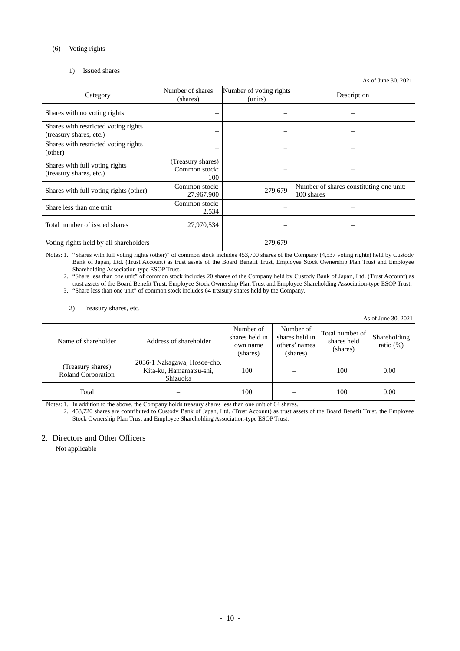## (6) Voting rights

# 1) Issued shares

As of June 30, 2021

| Category                                                        | Number of shares<br>(shares)              | Number of voting rights<br>(units) | Description                                           |
|-----------------------------------------------------------------|-------------------------------------------|------------------------------------|-------------------------------------------------------|
| Shares with no voting rights                                    |                                           |                                    |                                                       |
| Shares with restricted voting rights<br>(treasury shares, etc.) |                                           |                                    |                                                       |
| Shares with restricted voting rights<br>(other)                 |                                           | -                                  |                                                       |
| Shares with full voting rights<br>(treasury shares, etc.)       | (Treasury shares)<br>Common stock:<br>100 |                                    |                                                       |
| Shares with full voting rights (other)                          | Common stock:<br>27,967,900               | 279,679                            | Number of shares constituting one unit:<br>100 shares |
| Share less than one unit                                        | Common stock:<br>2,534                    |                                    |                                                       |
| Total number of issued shares                                   | 27,970,534                                |                                    |                                                       |
| Voting rights held by all shareholders                          |                                           | 279,679                            |                                                       |

Notes: 1. "Shares with full voting rights (other)" of common stock includes 453,700 shares of the Company (4,537 voting rights) held by Custody Bank of Japan, Ltd. (Trust Account) as trust assets of the Board Benefit Trust, Employee Stock Ownership Plan Trust and Employee Shareholding Association-type ESOP Trust.

2. "Share less than one unit" of common stock includes 20 shares of the Company held by Custody Bank of Japan, Ltd. (Trust Account) as trust assets of the Board Benefit Trust, Employee Stock Ownership Plan Trust and Employee Shareholding Association-type ESOP Trust.

3. "Share less than one unit" of common stock includes 64 treasury shares held by the Company.

2) Treasury shares, etc.

As of June 30, 2021

| Name of shareholder                     | Address of shareholder                                             | Number of<br>shares held in<br>own name<br>(shares) | Number of<br>shares held in<br>others' names<br>(shares) | Total number of<br>shares held<br>(shares) | Shareholding<br>ratio $(\%)$ |
|-----------------------------------------|--------------------------------------------------------------------|-----------------------------------------------------|----------------------------------------------------------|--------------------------------------------|------------------------------|
| (Treasury shares)<br>Roland Corporation | 2036-1 Nakagawa, Hosoe-cho,<br>Kita-ku, Hamamatsu-shi,<br>Shizuoka | 100                                                 |                                                          | 100                                        | 0.00                         |
| Total                                   |                                                                    | 100                                                 |                                                          | 100                                        | 0.00                         |

Notes: 1. In addition to the above, the Company holds treasury shares less than one unit of 64 shares.

2. 453,720 shares are contributed to Custody Bank of Japan, Ltd. (Trust Account) as trust assets of the Board Benefit Trust, the Employee Stock Ownership Plan Trust and Employee Shareholding Association-type ESOP Trust.

# 2. Directors and Other Officers

Not applicable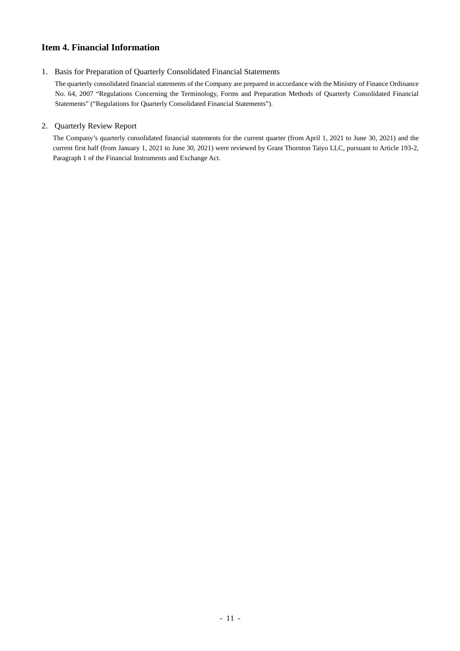# **Item 4. Financial Information**

# 1. Basis for Preparation of Quarterly Consolidated Financial Statements

The quarterly consolidated financial statements of the Company are prepared in accordance with the Ministry of Finance Ordinance No. 64, 2007 "Regulations Concerning the Terminology, Forms and Preparation Methods of Quarterly Consolidated Financial Statements" ("Regulations for Quarterly Consolidated Financial Statements").

# 2. Quarterly Review Report

The Company's quarterly consolidated financial statements for the current quarter (from April 1, 2021 to June 30, 2021) and the current first half (from January 1, 2021 to June 30, 2021) were reviewed by Grant Thornton Taiyo LLC, pursuant to Article 193-2, Paragraph 1 of the Financial Instruments and Exchange Act.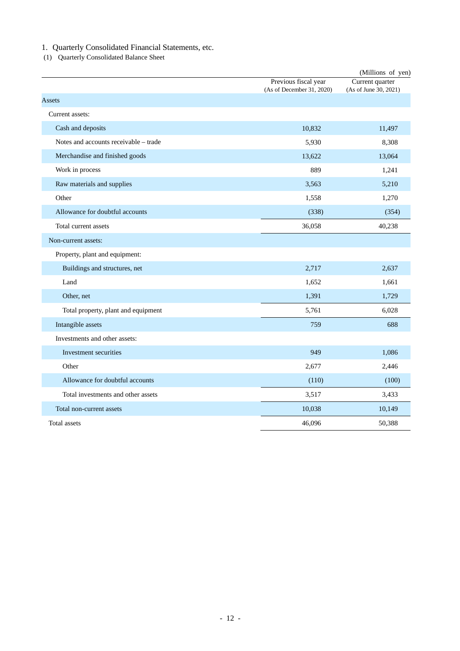1. Quarterly Consolidated Financial Statements, etc.

(1) Quarterly Consolidated Balance Sheet

|                                       |                                                   | (Millions of yen)                        |
|---------------------------------------|---------------------------------------------------|------------------------------------------|
|                                       | Previous fiscal year<br>(As of December 31, 2020) | Current quarter<br>(As of June 30, 2021) |
| Assets                                |                                                   |                                          |
| Current assets:                       |                                                   |                                          |
| Cash and deposits                     | 10,832                                            | 11,497                                   |
| Notes and accounts receivable - trade | 5,930                                             | 8,308                                    |
| Merchandise and finished goods        | 13,622                                            | 13,064                                   |
| Work in process                       | 889                                               | 1,241                                    |
| Raw materials and supplies            | 3,563                                             | 5,210                                    |
| Other                                 | 1,558                                             | 1,270                                    |
| Allowance for doubtful accounts       | (338)                                             | (354)                                    |
| Total current assets                  | 36,058                                            | 40,238                                   |
| Non-current assets:                   |                                                   |                                          |
| Property, plant and equipment:        |                                                   |                                          |
| Buildings and structures, net         | 2,717                                             | 2,637                                    |
| Land                                  | 1,652                                             | 1,661                                    |
| Other, net                            | 1,391                                             | 1,729                                    |
| Total property, plant and equipment   | 5,761                                             | 6,028                                    |
| Intangible assets                     | 759                                               | 688                                      |
| Investments and other assets:         |                                                   |                                          |
| Investment securities                 | 949                                               | 1,086                                    |
| Other                                 | 2,677                                             | 2,446                                    |
| Allowance for doubtful accounts       | (110)                                             | (100)                                    |
| Total investments and other assets    | 3,517                                             | 3,433                                    |
| Total non-current assets              | 10,038                                            | 10,149                                   |
| <b>Total assets</b>                   | 46.096                                            | 50.388                                   |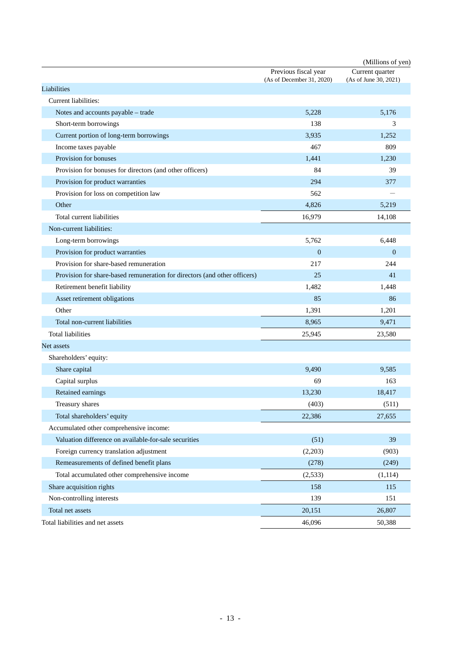|                                                                           |                                                   | (Millions of yen)     |
|---------------------------------------------------------------------------|---------------------------------------------------|-----------------------|
|                                                                           | Previous fiscal year<br>(As of December 31, 2020) | Current quarter       |
| Liabilities                                                               |                                                   | (As of June 30, 2021) |
| Current liabilities:                                                      |                                                   |                       |
| Notes and accounts payable - trade                                        | 5,228                                             | 5,176                 |
| Short-term borrowings                                                     | 138                                               | 3                     |
| Current portion of long-term borrowings                                   | 3,935                                             | 1,252                 |
| Income taxes payable                                                      | 467                                               | 809                   |
| Provision for bonuses                                                     | 1,441                                             | 1,230                 |
| Provision for bonuses for directors (and other officers)                  | 84                                                | 39                    |
| Provision for product warranties                                          | 294                                               | 377                   |
| Provision for loss on competition law                                     | 562                                               |                       |
| Other                                                                     | 4,826                                             | 5,219                 |
| Total current liabilities                                                 | 16,979                                            | 14,108                |
| Non-current liabilities:                                                  |                                                   |                       |
| Long-term borrowings                                                      | 5,762                                             | 6,448                 |
| Provision for product warranties                                          | $\boldsymbol{0}$                                  | $\mathbf{0}$          |
| Provision for share-based remuneration                                    | 217                                               | 244                   |
| Provision for share-based remuneration for directors (and other officers) | 25                                                | 41                    |
| Retirement benefit liability                                              | 1,482                                             | 1,448                 |
| Asset retirement obligations                                              | 85                                                | 86                    |
| Other                                                                     | 1,391                                             | 1,201                 |
| Total non-current liabilities                                             | 8,965                                             | 9,471                 |
| <b>Total liabilities</b>                                                  | 25,945                                            | 23,580                |
| Net assets                                                                |                                                   |                       |
| Shareholders' equity:                                                     |                                                   |                       |
| Share capital                                                             | 9,490                                             | 9,585                 |
| Capital surplus                                                           | 69                                                | 163                   |
| Retained earnings                                                         | 13,230                                            | 18,417                |
| Treasury shares                                                           | (403)                                             | (511)                 |
| Total shareholders' equity                                                | 22,386                                            | 27,655                |
| Accumulated other comprehensive income:                                   |                                                   |                       |
| Valuation difference on available-for-sale securities                     | (51)                                              | 39                    |
| Foreign currency translation adjustment                                   | (2,203)                                           | (903)                 |
| Remeasurements of defined benefit plans                                   | (278)                                             | (249)                 |
| Total accumulated other comprehensive income                              | (2,533)                                           | (1, 114)              |
| Share acquisition rights                                                  | 158                                               | 115                   |
| Non-controlling interests                                                 | 139                                               | 151                   |
| Total net assets                                                          | 20,151                                            | 26,807                |
| Total liabilities and net assets                                          | 46,096                                            | 50,388                |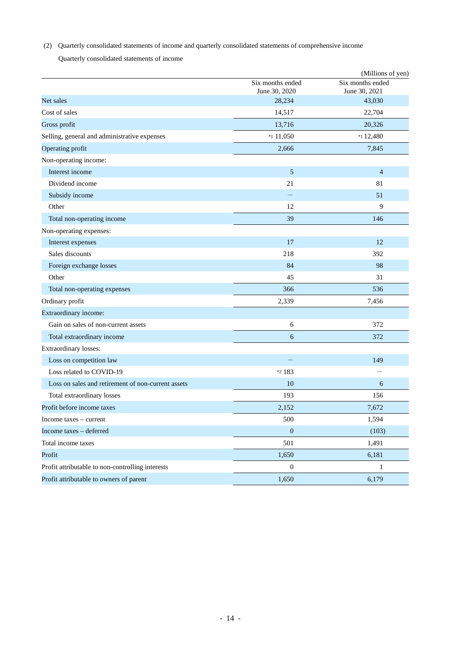(2) Quarterly consolidated statements of income and quarterly consolidated statements of comprehensive income

Quarterly consolidated statements of income

|                                                    |                                   | (Millions of yen)                 |
|----------------------------------------------------|-----------------------------------|-----------------------------------|
|                                                    | Six months ended<br>June 30, 2020 | Six months ended<br>June 30, 2021 |
| Net sales                                          | 28,234                            | 43,030                            |
| Cost of sales                                      | 14,517                            | 22,704                            |
| Gross profit                                       | 13,716                            | 20,326                            |
| Selling, general and administrative expenses       | $*11,050$                         | $*112,480$                        |
| Operating profit                                   | 2,666                             | 7,845                             |
| Non-operating income:                              |                                   |                                   |
| Interest income                                    | 5                                 | $\overline{4}$                    |
| Dividend income                                    | 21                                | 81                                |
| Subsidy income                                     |                                   | 51                                |
| Other                                              | 12                                | 9                                 |
| Total non-operating income                         | 39                                | 146                               |
| Non-operating expenses:                            |                                   |                                   |
| Interest expenses                                  | 17                                | 12                                |
| Sales discounts                                    | 218                               | 392                               |
| Foreign exchange losses                            | 84                                | 98                                |
| Other                                              | 45                                | 31                                |
| Total non-operating expenses                       | 366                               | 536                               |
| Ordinary profit                                    | 2,339                             | 7,456                             |
| Extraordinary income:                              |                                   |                                   |
| Gain on sales of non-current assets                | 6                                 | 372                               |
| Total extraordinary income                         | 6                                 | 372                               |
| Extraordinary losses:                              |                                   |                                   |
| Loss on competition law                            |                                   | 149                               |
| Loss related to COVID-19                           | *2 183                            |                                   |
| Loss on sales and retirement of non-current assets | 10                                | 6                                 |
| Total extraordinary losses                         | 193                               | 156                               |
| Profit before income taxes                         | 2,152                             | 7,672                             |
| Income taxes - current                             | 500                               | 1,594                             |
| Income taxes - deferred                            | $\boldsymbol{0}$                  | (103)                             |
| Total income taxes                                 | 501                               | 1,491                             |
| Profit                                             | 1,650                             | 6,181                             |
| Profit attributable to non-controlling interests   | $\boldsymbol{0}$                  | 1                                 |
| Profit attributable to owners of parent            | 1,650                             | 6,179                             |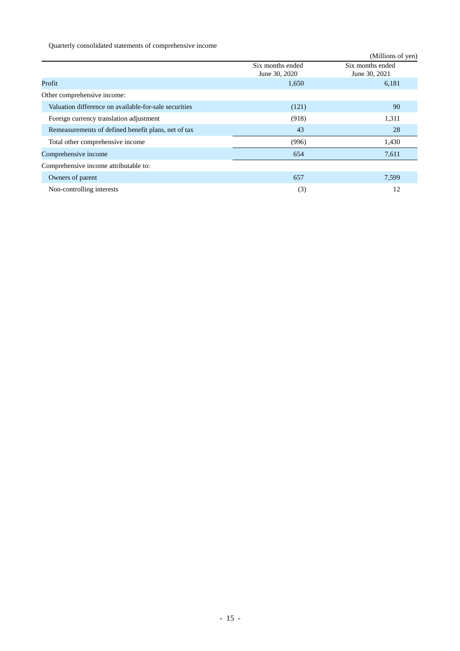Quarterly consolidated statements of comprehensive income

|                                                       |                                   | (Millions of yen)                 |
|-------------------------------------------------------|-----------------------------------|-----------------------------------|
|                                                       | Six months ended<br>June 30, 2020 | Six months ended<br>June 30, 2021 |
| Profit                                                | 1,650                             | 6,181                             |
| Other comprehensive income:                           |                                   |                                   |
| Valuation difference on available-for-sale securities | (121)                             | 90                                |
| Foreign currency translation adjustment               | (918)                             | 1,311                             |
| Remeasurements of defined benefit plans, net of tax   | 43                                | 28                                |
| Total other comprehensive income                      | (996)                             | 1,430                             |
| Comprehensive income                                  | 654                               | 7,611                             |
| Comprehensive income attributable to:                 |                                   |                                   |
| Owners of parent                                      | 657                               | 7,599                             |
| Non-controlling interests                             | (3)                               | 12                                |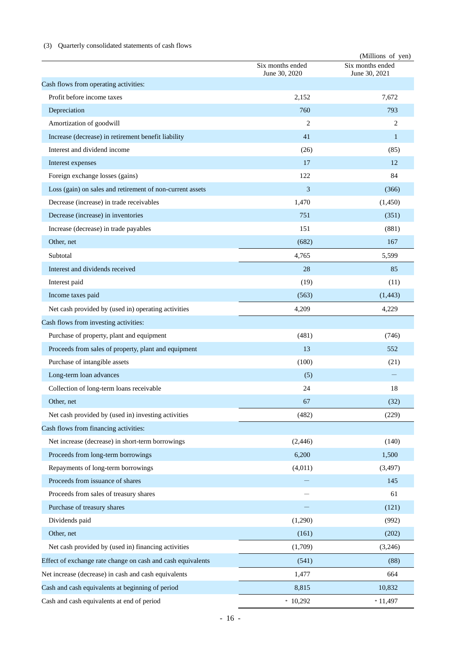# (3) Quarterly consolidated statements of cash flows

|                                                             |                                   | (Millions of yen)                 |
|-------------------------------------------------------------|-----------------------------------|-----------------------------------|
|                                                             | Six months ended<br>June 30, 2020 | Six months ended<br>June 30, 2021 |
| Cash flows from operating activities:                       |                                   |                                   |
| Profit before income taxes                                  | 2,152                             | 7,672                             |
| Depreciation                                                | 760                               | 793                               |
| Amortization of goodwill                                    | 2                                 | 2                                 |
| Increase (decrease) in retirement benefit liability         | 41                                | 1                                 |
| Interest and dividend income                                | (26)                              | (85)                              |
| Interest expenses                                           | 17                                | 12                                |
| Foreign exchange losses (gains)                             | 122                               | 84                                |
| Loss (gain) on sales and retirement of non-current assets   | 3                                 | (366)                             |
| Decrease (increase) in trade receivables                    | 1,470                             | (1,450)                           |
| Decrease (increase) in inventories                          | 751                               | (351)                             |
| Increase (decrease) in trade payables                       | 151                               | (881)                             |
| Other, net                                                  | (682)                             | 167                               |
| Subtotal                                                    | 4,765                             | 5,599                             |
| Interest and dividends received                             | 28                                | 85                                |
| Interest paid                                               | (19)                              | (11)                              |
| Income taxes paid                                           | (563)                             | (1, 443)                          |
| Net cash provided by (used in) operating activities         | 4,209                             | 4,229                             |
| Cash flows from investing activities:                       |                                   |                                   |
| Purchase of property, plant and equipment                   | (481)                             | (746)                             |
| Proceeds from sales of property, plant and equipment        | 13                                | 552                               |
| Purchase of intangible assets                               | (100)                             | (21)                              |
| Long-term loan advances                                     | (5)                               |                                   |
| Collection of long-term loans receivable                    | 24                                | 18                                |
| Other, net                                                  | 67                                | (32)                              |
| Net cash provided by (used in) investing activities         | (482)                             | (229)                             |
| Cash flows from financing activities:                       |                                   |                                   |
| Net increase (decrease) in short-term borrowings            | (2,446)                           | (140)                             |
| Proceeds from long-term borrowings                          | 6,200                             | 1,500                             |
| Repayments of long-term borrowings                          | (4,011)                           | (3, 497)                          |
| Proceeds from issuance of shares                            |                                   | 145                               |
| Proceeds from sales of treasury shares                      |                                   | 61                                |
| Purchase of treasury shares                                 |                                   | (121)                             |
| Dividends paid                                              | (1,290)                           | (992)                             |
| Other, net                                                  | (161)                             | (202)                             |
| Net cash provided by (used in) financing activities         | (1,709)                           | (3,246)                           |
| Effect of exchange rate change on cash and cash equivalents | (541)                             | (88)                              |
| Net increase (decrease) in cash and cash equivalents        | 1,477                             | 664                               |
| Cash and cash equivalents at beginning of period            | 8,815                             | 10,832                            |
| Cash and cash equivalents at end of period                  | $*10,292$                         | $*11,497$                         |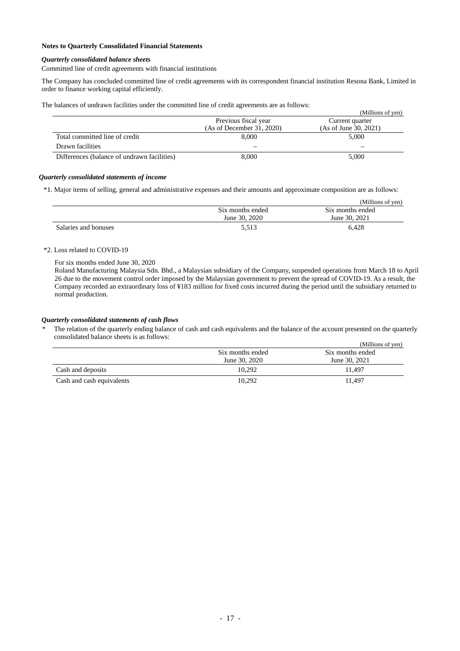# **Notes to Quarterly Consolidated Financial Statements**

#### *Quarterly consolidated balance sheets*

Committed line of credit agreements with financial institutions

The Company has concluded committed line of credit agreements with its correspondent financial institution Resona Bank, Limited in order to finance working capital efficiently.

The balances of undrawn facilities under the committed line of credit agreements are as follows:

|                                             |                           | (Millions of yen)     |
|---------------------------------------------|---------------------------|-----------------------|
|                                             | Previous fiscal year      | Current quarter       |
|                                             | (As of December 31, 2020) | (As of June 30, 2021) |
| Total committed line of credit              | 8,000                     | 5,000                 |
| Drawn facilities                            |                           | –                     |
| Differences (balance of undrawn facilities) | 8.000                     | 5,000                 |

#### *Quarterly consolidated statements of income*

\*1. Major items of selling, general and administrative expenses and their amounts and approximate composition are as follows:

|                      |                  | (Millions of yen) |
|----------------------|------------------|-------------------|
|                      | Six months ended | Six months ended  |
|                      | June 30, 2020    | June 30, 2021     |
| Salaries and bonuses | 5.513            | 6.428             |

# \*2. Loss related to COVID-19

For six months ended June 30, 2020

Roland Manufacturing Malaysia Sdn. Bhd., a Malaysian subsidiary of the Company, suspended operations from March 18 to April 26 due to the movement control order imposed by the Malaysian government to prevent the spread of COVID-19. As a result, the Company recorded an extraordinary loss of ¥183 million for fixed costs incurred during the period until the subsidiary returned to normal production.

#### *Quarterly consolidated statements of cash flows*

The relation of the quarterly ending balance of cash and cash equivalents and the balance of the account presented on the quarterly consolidated balance sheets is as follows:

|                           |                  | (Millions of yen) |
|---------------------------|------------------|-------------------|
|                           | Six months ended | Six months ended  |
|                           | June 30, 2020    | June 30, 2021     |
| Cash and deposits         | 10.292           | 11.497            |
| Cash and cash equivalents | 10.292           | 11.497            |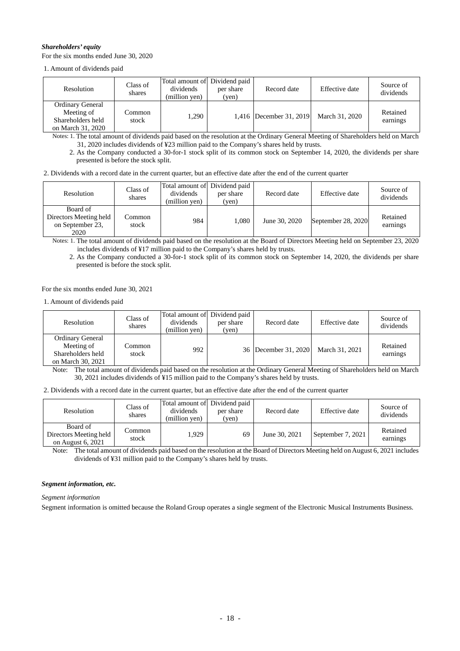## *Shareholders' equity*

For the six months ended June 30, 2020

1. Amount of dividends paid

| Resolution                                                                      | Class of<br>shares | Total amount of Dividend paid<br>dividends<br>(million yen) | per share<br>(ven) | Record date                               | Effective date | Source of<br>dividends |
|---------------------------------------------------------------------------------|--------------------|-------------------------------------------------------------|--------------------|-------------------------------------------|----------------|------------------------|
| <b>Ordinary General</b><br>Meeting of<br>Shareholders held<br>on March 31, 2020 | Common<br>stock    | 1.290                                                       |                    | 1,416  December 31, 2019   March 31, 2020 |                | Retained<br>earnings   |

Notes: 1. The total amount of dividends paid based on the resolution at the Ordinary General Meeting of Shareholders held on March 31, 2020 includes dividends of ¥23 million paid to the Company's shares held by trusts.

2. As the Company conducted a 30-for-1 stock split of its common stock on September 14, 2020, the dividends per share presented is before the stock split.

| 2. Dividends with a record date in the current quarter, but an effective date after the end of the current quarter |  |  |  |  |  |  |  |  |  |  |
|--------------------------------------------------------------------------------------------------------------------|--|--|--|--|--|--|--|--|--|--|
|                                                                                                                    |  |  |  |  |  |  |  |  |  |  |

| <b>Resolution</b>                                              | Class of<br>shares | Total amount of Dividend paid<br>dividends<br>(million yen) | per share<br>(yen) | Record date   | Effective date     | Source of<br>dividends |
|----------------------------------------------------------------|--------------------|-------------------------------------------------------------|--------------------|---------------|--------------------|------------------------|
| Board of<br>Directors Meeting held<br>on September 23,<br>2020 | Common<br>stock    | 984                                                         | 1.080              | June 30, 2020 | September 28, 2020 | Retained<br>earnings   |

Notes: 1. The total amount of dividends paid based on the resolution at the Board of Directors Meeting held on September 23, 2020 includes dividends of ¥17 million paid to the Company's shares held by trusts.

2. As the Company conducted a 30-for-1 stock split of its common stock on September 14, 2020, the dividends per share presented is before the stock split.

For the six months ended June 30, 2021

1. Amount of dividends paid

| Resolution                                                               | Class of<br>shares | Total amount of Dividend paid<br>dividends<br>(million yen) | per share<br>(yen) | Record date          | Effective date | Source of<br>dividends |
|--------------------------------------------------------------------------|--------------------|-------------------------------------------------------------|--------------------|----------------------|----------------|------------------------|
| Ordinary General<br>Meeting of<br>Shareholders held<br>on March 30, 2021 | Common<br>stock    | 992                                                         |                    | 36 December 31, 2020 | March 31, 2021 | Retained<br>earnings   |

Note: The total amount of dividends paid based on the resolution at the Ordinary General Meeting of Shareholders held on March 30, 2021 includes dividends of ¥15 million paid to the Company's shares held by trusts.

2. Dividends with a record date in the current quarter, but an effective date after the end of the current quarter

| <b>Resolution</b>                                       | Class of<br>shares | Total amount of Dividend paid<br>dividends<br>(million ven) | per share<br>(yen) | Record date   | Effective date    | Source of<br>dividends |
|---------------------------------------------------------|--------------------|-------------------------------------------------------------|--------------------|---------------|-------------------|------------------------|
| Board of<br>Directors Meeting held<br>on August 6, 2021 | Common<br>stock    | 1.929                                                       | 69                 | June 30, 2021 | September 7, 2021 | Retained<br>earnings   |

Note: The total amount of dividends paid based on the resolution at the Board of Directors Meeting held on August 6, 2021 includes dividends of ¥31 million paid to the Company's shares held by trusts.

# *Segment information, etc.*

*Segment information*

Segment information is omitted because the Roland Group operates a single segment of the Electronic Musical Instruments Business.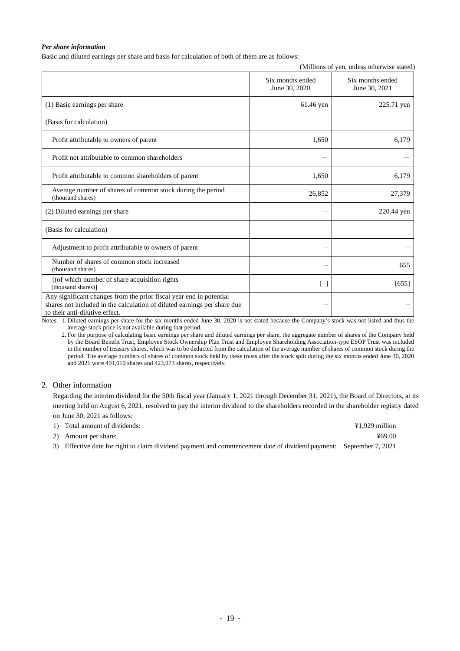## *Per share information*

Basic and diluted earnings per share and basis for calculation of both of them are as follows:

|                                                                                                                                                                                   |                                   | (Millions of yen, unless otherwise stated) |
|-----------------------------------------------------------------------------------------------------------------------------------------------------------------------------------|-----------------------------------|--------------------------------------------|
|                                                                                                                                                                                   | Six months ended<br>June 30, 2020 | Six months ended<br>June 30, 2021          |
| (1) Basic earnings per share                                                                                                                                                      | 61.46 yen                         | 225.71 yen                                 |
| (Basis for calculation)                                                                                                                                                           |                                   |                                            |
| Profit attributable to owners of parent                                                                                                                                           | 1,650                             | 6,179                                      |
| Profit not attributable to common shareholders                                                                                                                                    |                                   |                                            |
| Profit attributable to common shareholders of parent                                                                                                                              | 1,650                             | 6,179                                      |
| Average number of shares of common stock during the period<br>(thousand shares)                                                                                                   | 26,852                            | 27,379                                     |
| (2) Diluted earnings per share                                                                                                                                                    |                                   | 220.44 yen                                 |
| (Basis for calculation)                                                                                                                                                           |                                   |                                            |
| Adjustment to profit attributable to owners of parent                                                                                                                             |                                   |                                            |
| Number of shares of common stock increased<br>(thousand shares)                                                                                                                   |                                   | 655                                        |
| [(of which number of share acquisition rights<br>(thousand shares)]                                                                                                               | $[-]$                             | [655]                                      |
| Any significant changes from the prior fiscal year end in potential<br>shares not included in the calculation of diluted earnings per share due<br>to their anti-dilutive effect. |                                   |                                            |

Notes: 1. Diluted earnings per share for the six months ended June 30, 2020 is not stated because the Company's stock was not listed and thus the average stock price is not available during that period.

2. For the purpose of calculating basic earnings per share and diluted earnings per share, the aggregate number of shares of the Company held by the Board Benefit Trust, Employee Stock Ownership Plan Trust and Employee Shareholding Association-type ESOP Trust was included in the number of treasury shares, which was to be deducted from the calculation of the average number of shares of common stock during the period. The average numbers of shares of common stock held by these trusts after the stock split during the six months ended June 30, 2020 and 2021 were 491,010 shares and 423,973 shares, respectively.

# 2. Other information

Regarding the interim dividend for the 50th fiscal year (January 1, 2021 through December 31, 2021), the Board of Directors, at its meeting held on August 6, 2021, resolved to pay the interim dividend to the shareholders recorded in the shareholder registry dated on June 30, 2021 as follows:

| 1) Total amount of dividends:                                                                                      | $41.929$ million |
|--------------------------------------------------------------------------------------------------------------------|------------------|
| 2) Amount per share:                                                                                               | ¥69.00           |
| 3) Effective date for right to claim dividend payment and commencement date of dividend payment: September 7, 2021 |                  |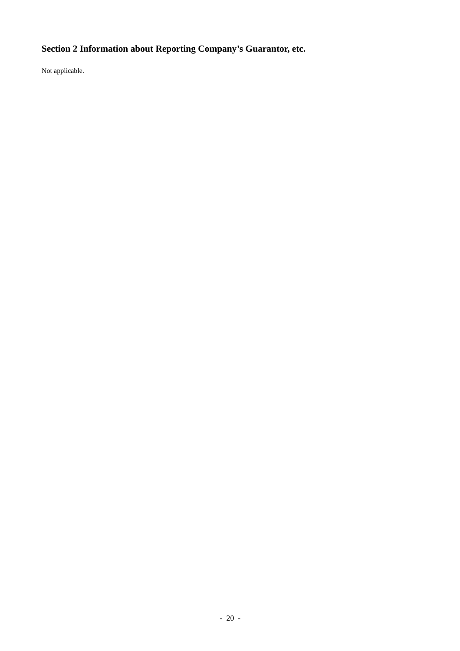# **Section 2 Information about Reporting Company's Guarantor, etc.**

Not applicable.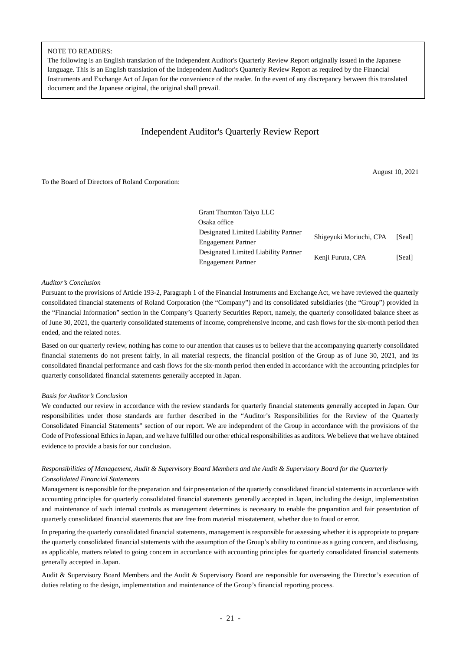## NOTE TO READERS:

The following is an English translation of the Independent Auditor's Quarterly Review Report originally issued in the Japanese language. This is an English translation of the Independent Auditor's Quarterly Review Report as required by the Financial Instruments and Exchange Act of Japan for the convenience of the reader. In the event of any discrepancy between this translated document and the Japanese original, the original shall prevail.

# Independent Auditor's Quarterly Review Report

To the Board of Directors of Roland Corporation:

August 10, 2021

| Grant Thornton Taiyo LLC             |                         |        |
|--------------------------------------|-------------------------|--------|
| Osaka office                         |                         |        |
| Designated Limited Liability Partner | Shigeyuki Moriuchi, CPA | [Seal] |
| <b>Engagement Partner</b>            |                         |        |
| Designated Limited Liability Partner |                         |        |
| <b>Engagement Partner</b>            | Kenji Furuta, CPA       | [Seal] |

#### *Auditor's Conclusion*

Pursuant to the provisions of Article 193-2, Paragraph 1 of the Financial Instruments and Exchange Act, we have reviewed the quarterly consolidated financial statements of Roland Corporation (the "Company") and its consolidated subsidiaries (the "Group") provided in the "Financial Information" section in the Company's Quarterly Securities Report, namely, the quarterly consolidated balance sheet as of June 30, 2021, the quarterly consolidated statements of income, comprehensive income, and cash flows for the six-month period then ended, and the related notes.

Based on our quarterly review, nothing has come to our attention that causes us to believe that the accompanying quarterly consolidated financial statements do not present fairly, in all material respects, the financial position of the Group as of June 30, 2021, and its consolidated financial performance and cash flows for the six-month period then ended in accordance with the accounting principles for quarterly consolidated financial statements generally accepted in Japan.

## *Basis for Auditor's Conclusion*

We conducted our review in accordance with the review standards for quarterly financial statements generally accepted in Japan. Our responsibilities under those standards are further described in the "Auditor's Responsibilities for the Review of the Quarterly Consolidated Financial Statements" section of our report. We are independent of the Group in accordance with the provisions of the Code of Professional Ethics in Japan, and we have fulfilled our other ethical responsibilities as auditors. We believe that we have obtained evidence to provide a basis for our conclusion.

# *Responsibilities of Management, Audit & Supervisory Board Members and the Audit & Supervisory Board for the Quarterly Consolidated Financial Statements*

Management is responsible for the preparation and fair presentation of the quarterly consolidated financial statements in accordance with accounting principles for quarterly consolidated financial statements generally accepted in Japan, including the design, implementation and maintenance of such internal controls as management determines is necessary to enable the preparation and fair presentation of quarterly consolidated financial statements that are free from material misstatement, whether due to fraud or error.

In preparing the quarterly consolidated financial statements, management is responsible for assessing whether it is appropriate to prepare the quarterly consolidated financial statements with the assumption of the Group's ability to continue as a going concern, and disclosing, as applicable, matters related to going concern in accordance with accounting principles for quarterly consolidated financial statements generally accepted in Japan.

Audit & Supervisory Board Members and the Audit & Supervisory Board are responsible for overseeing the Director's execution of duties relating to the design, implementation and maintenance of the Group's financial reporting process.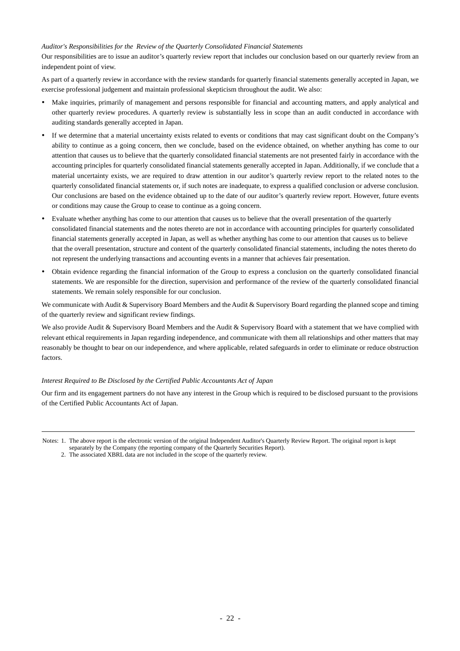## *Auditor's Responsibilities for the Review of the Quarterly Consolidated Financial Statements*

Our responsibilities are to issue an auditor's quarterly review report that includes our conclusion based on our quarterly review from an independent point of view.

As part of a quarterly review in accordance with the review standards for quarterly financial statements generally accepted in Japan, we exercise professional judgement and maintain professional skepticism throughout the audit. We also:

- Make inquiries, primarily of management and persons responsible for financial and accounting matters, and apply analytical and other quarterly review procedures. A quarterly review is substantially less in scope than an audit conducted in accordance with auditing standards generally accepted in Japan.
- If we determine that a material uncertainty exists related to events or conditions that may cast significant doubt on the Company's ability to continue as a going concern, then we conclude, based on the evidence obtained, on whether anything has come to our attention that causes us to believe that the quarterly consolidated financial statements are not presented fairly in accordance with the accounting principles for quarterly consolidated financial statements generally accepted in Japan. Additionally, if we conclude that a material uncertainty exists, we are required to draw attention in our auditor's quarterly review report to the related notes to the quarterly consolidated financial statements or, if such notes are inadequate, to express a qualified conclusion or adverse conclusion. Our conclusions are based on the evidence obtained up to the date of our auditor's quarterly review report. However, future events or conditions may cause the Group to cease to continue as a going concern.
- Evaluate whether anything has come to our attention that causes us to believe that the overall presentation of the quarterly consolidated financial statements and the notes thereto are not in accordance with accounting principles for quarterly consolidated financial statements generally accepted in Japan, as well as whether anything has come to our attention that causes us to believe that the overall presentation, structure and content of the quarterly consolidated financial statements, including the notes thereto do not represent the underlying transactions and accounting events in a manner that achieves fair presentation.
- Obtain evidence regarding the financial information of the Group to express a conclusion on the quarterly consolidated financial statements. We are responsible for the direction, supervision and performance of the review of the quarterly consolidated financial statements. We remain solely responsible for our conclusion.

We communicate with Audit & Supervisory Board Members and the Audit & Supervisory Board regarding the planned scope and timing of the quarterly review and significant review findings.

We also provide Audit & Supervisory Board Members and the Audit & Supervisory Board with a statement that we have complied with relevant ethical requirements in Japan regarding independence, and communicate with them all relationships and other matters that may reasonably be thought to bear on our independence, and where applicable, related safeguards in order to eliminate or reduce obstruction factors.

# *Interest Required to Be Disclosed by the Certified Public Accountants Act of Japan*

Our firm and its engagement partners do not have any interest in the Group which is required to be disclosed pursuant to the provisions of the Certified Public Accountants Act of Japan.

Notes: 1. The above report is the electronic version of the original Independent Auditor's Quarterly Review Report. The original report is kept separately by the Company (the reporting company of the Quarterly Securities Report).

2. The associated XBRL data are not included in the scope of the quarterly review.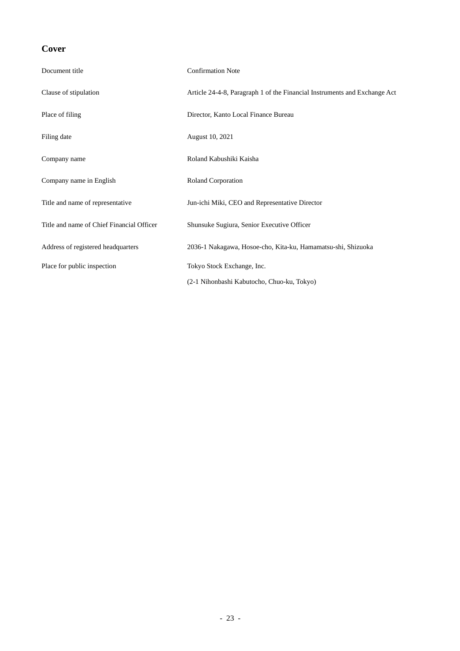# **Cover**

| Document title                            | <b>Confirmation Note</b>                                                  |
|-------------------------------------------|---------------------------------------------------------------------------|
| Clause of stipulation                     | Article 24-4-8, Paragraph 1 of the Financial Instruments and Exchange Act |
| Place of filing                           | Director, Kanto Local Finance Bureau                                      |
| Filing date                               | August 10, 2021                                                           |
| Company name                              | Roland Kabushiki Kaisha                                                   |
| Company name in English                   | Roland Corporation                                                        |
| Title and name of representative          | Jun-ichi Miki, CEO and Representative Director                            |
| Title and name of Chief Financial Officer | Shunsuke Sugiura, Senior Executive Officer                                |
| Address of registered headquarters        | 2036-1 Nakagawa, Hosoe-cho, Kita-ku, Hamamatsu-shi, Shizuoka              |
| Place for public inspection               | Tokyo Stock Exchange, Inc.                                                |
|                                           | (2-1 Nihonbashi Kabutocho, Chuo-ku, Tokyo)                                |